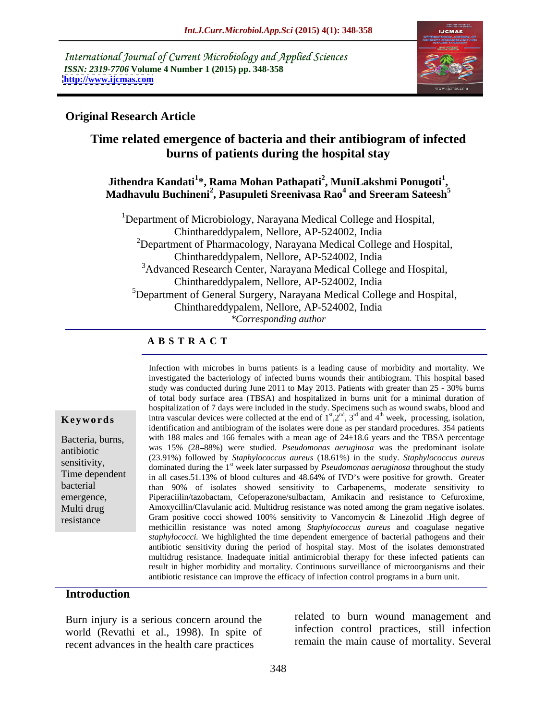International Journal of Current Microbiology and Applied Sciences *ISSN: 2319-7706* **Volume 4 Number 1 (2015) pp. 348-358 <http://www.ijcmas.com>**



## **Original Research Article**

# **Time related emergence of bacteria and their antibiogram of infected burns of patients during the hospital stay**

### **Jithendra Kandati<sup>1</sup> \*, Rama Mohan Pathapati<sup>2</sup> , MuniLakshmi Ponugoti<sup>1</sup>** Jithendra Kandati<sup>1</sup>\*, Rama Mohan Pathapati<sup>2</sup>, MuniLakshmi Ponugoti<sup>1</sup>,<br>Madhavulu Buchineni<sup>2</sup>, Pasupuleti Sreenivasa Rao<sup>4</sup> and Sreeram Sateesh<sup>5</sup> **and Sreeram Sateesh<sup>5</sup>**

<sup>1</sup>Department of Microbiology, Narayana Medical College and Hospital,<br>Chinthareddypalem, Nellore, AP-524002, India <sup>2</sup>Department of Pharmacology, Narayana Medical College and Hospital, Chinthareddypalem, Nellore, AP-524002, India <sup>3</sup>Advanced Research Center, Narayana Medical College and Hospital, Chinthareddypalem, Nellore, AP-524002, India  ${}^{5}$ Department of General Surgery, Narayana Medical College and Hospital,<br>Chinthareddypalem, Nellore, AP-524002, India *\*Corresponding author* 

### **A B S T R A C T**

resistance

Infection with microbes in burns patients is a leading cause of morbidity and mortality. We investigated the bacteriology of infected burns wounds their antibiogram. This hospital based study was conducted during June 2011 to May 2013. Patients with greater than 25 - 30% burns of total body surface area (TBSA) and hospitalized in burns unit for a minimal duration of hospitalization of 7 days were included in the study. Specimens such as wound swabs, blood and **Key words** intra vascular devices were collected at the end of  $1^{st}$ ,  $2^{nd}$ ,  $3^{rd}$  and  $4^{th}$  week, processing, isolation, identification and antibiogram of the isolates were done as per standard procedures. 354 patients with 188 males and 166 females with a mean age of 24±18.6 years and the TBSA percentage was 15% (28–88%) were studied. *Pseudomonas aeruginosa* was the predominant isolate (23.91%) followed by *Staphylococcus aureus* (18.61%) in the study. *Staphylococcus aureus* sensitivity,<br>dominated during the 1<sup>st</sup> week later surpassed by *Pseudomonas aeruginosa* throughout the study Time dependent in all cases.51.13% of blood cultures and 48.64% of IVD's were positive for growth. Greater bacterial than 90% of isolates showed sensitivity to Carbapenems, moderate sensitivity to emergence, Piperaciilin/tazobactam, Cefoperazone/sulbactam, Amikacin and resistance to Cefuroxime, Multi drug Amoxycillin/Clavulanic acid. Multidrug resistance was noted among the gram negative isolates. Gram positive cocci showed 100% sensitivity to Vancomycin & Linezolid .High degree of methicillin resistance was noted among *Staphylococcus aureus* and coagulase negative *staphylococci.* We highlighted the time dependent emergence of bacterial pathogens and their antibiotic sensitivity during the period of hospital stay. Most of the isolates demonstrated multidrug resistance. Inadequate initial antimicrobial therapy for these infected patients can result in higher morbidity and mortality. Continuous surveillance of microorganisms and their antibiotic resistance can improve the efficacy of infection control programs in a burn unit. Bacteria, burns, with 188 males and 166 females with a mean age of 24±18.6 years and the TBSA percentage antibiotic was 15% (28-88%) were studied. Pseudomonas aeruginosa was the predominant isolate

### **Introduction**

Burn injury is a serious concern around the world (Revathi et al., 1998). In spite of recent advances in the health care practices

related to burn wound management and infection control practices, still infection remain the main cause of mortality. Several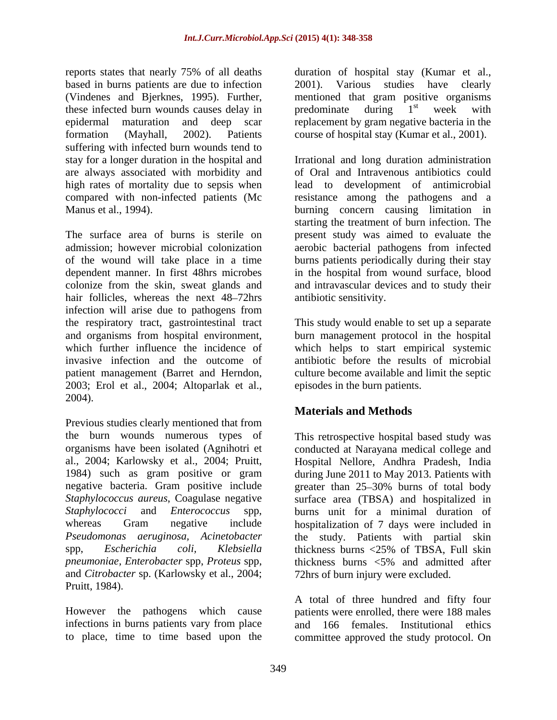reports states that nearly 75% of all deaths duration of hospital stay (Kumar et al., based in burns patients are due to infection 2001). Various studies have clearly (Vindenes and Bjerknes, 1995). Further, mentioned that gram positive organisms these infected burn wounds causes delay in predominate during  $1<sup>st</sup>$  week with epidermal maturation and deep scar replacement by gram negative bacteria in the formation (Mayhall, 2002). Patients course of hospital stay (Kumar et al., 2001). suffering with infected burn wounds tend to stay for a longer duration in the hospital and Irrational and long duration administration are always associated with morbidity and high rates of mortality due to sepsis when lead to development of antimicrobial compared with non-infected patients (Mc resistance among the pathogens and a

admission; however microbial colonization aerobic bacterial pathogens from infected of the wound will take place in a time burns patients periodically during their stay dependent manner. In first 48hrs microbes in the hospital from wound surface, blood colonize from the skin, sweat glands and and intravascular devices and to study their hair follicles, whereas the next 48–72hrs infection will arise due to pathogens from the respiratory tract, gastrointestinal tract This study would enable to set up a separate and organisms from hospital environment, burn management protocol in the hospital which further influence the incidence of which helps to start empirical systemic invasive infection and the outcome of antibiotic before the results of microbial patient management (Barret and Herndon, culture become available and limit the septic 2003; Erol et al., 2004; Altoparlak et al., episodes in the burn patients.

2004).<br>Previous studies clearly mentioned that from **Materials and Methods** the burn wounds numerous types of This retrospective hospital based study was organisms have been isolated (Agnihotri et conducted at Narayana medical college and al., 2004; Karlowsky et al., 2004; Pruitt, Hospital Nellore, Andhra Pradesh, India<br>1984) such as gram positive or gram during June 2011 to May 2013. Patients with negative bacteria. Gram positive include greater than 25-30% burns of total body *Staphylococcus aureus*, Coagulase negative surface area (TBSA) and hospitalized in *Staphylococci* and *Enterococcus* spp, burns unit for a minimal duration of whereas Gram negative include hospitalization of 7 days were included in *Pseudomonas aeruginosa, Acinetobacter* the study. Patients with partial skin spp, *Escherichia coli, Klebsiella pneumoniae, Enterobacter* spp, *Proteus* spp, and *Citrobacter* sp. (Karlowsky et al., 2004;

infections in burns patients vary from place

predominate during  $1<sup>st</sup>$  week with  $\mathbf{S}^{\dagger}$  with week with

Manus et al., 1994).<br>
The surface area of burns is sterile on the present study was aimed to evaluate the surface area of burns is sterile on of Oral and Intravenous antibiotics could burning concern causing limitation in starting the treatment of burn infection. The present study was aimed to evaluate the antibiotic sensitivity.

> culture become available and limit the septic episodes in the burn patients.

# **Materials and Methods**

Hospital Nellore, Andhra Pradesh, India during June 2011 to May 2013. Patients with greater than 25–30% burns of total body thickness burns <25% of TBSA, Full skin thickness burns <5% and admitted after 72hrs of burn injury were excluded.

Pruitt, 1984).<br>
A total of three hundred and fifty four<br>
However the pathogens which cause patients were enrolled, there were 188 males to place, time to time based upon the committee approved the study protocol. OnA total of three hundred and fifty four patients were enrolled, there were 188 males and 166 females. Institutional ethics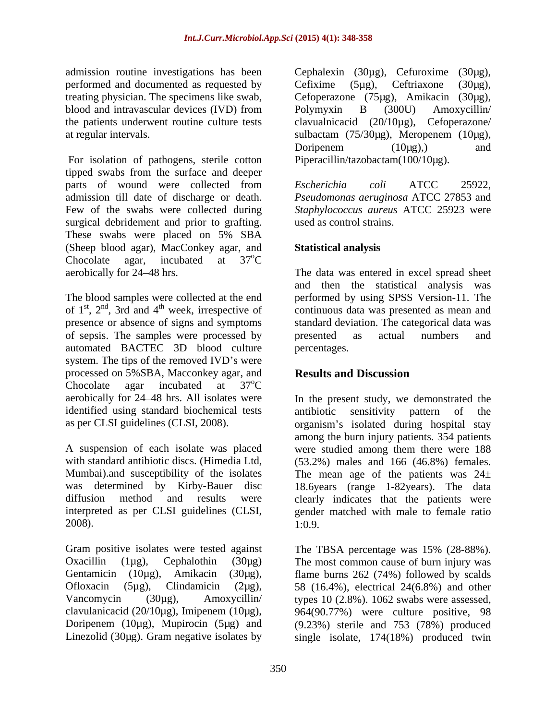admission routine investigations has been Cephalexin (30µg), Cefuroxime (30µg), performed and documented as requested by  $Cefixime$   $(5\mu g)$ ,  $Cefitriaxone$   $(30\mu g)$ , treating physician. The specimens like swab, Cefoperazone (75µg), Amikacin (30µg), blood and intravascular devices (IVD) from Polymyxin B (300U) Amoxycillin the patients underwent routine culture tests clavualnicacid (20/10µg), Cefoperazone/ at regular intervals. sulbactam (75/30µg), Meropenem (10µg),

For isolation of pathogens, sterile cotton tipped swabs from the surface and deeper parts of wound were collected from Escherichia coli ATCC 25922, admission till date of discharge or death. *Pseudomonas aeruginosa* ATCC 27853 and Few of the swabs were collected during *Staphylococcus aureus* ATCC 25923 were surgical debridement and prior to grafting. These swabs were placed on 5% SBA (Sheep blood agar), MacConkey agar, and Chocolate agar, incubated at  $37^{\circ}$ C oC aerobically for 24 48 hrs. The data was entered in excel spread sheet

The blood samples were collected at the end performed by using SPSS Version-11. The of  $1<sup>st</sup>$ ,  $2<sup>nd</sup>$ ,  $3rd$  and  $4<sup>th</sup>$  week, irrespective of continuous data was presented as mean and of  $1<sup>st</sup>$ ,  $2<sup>nd</sup>$ ,  $3rd$  and  $4<sup>th</sup>$  week, irrespective of presence or absence of signs and symptoms of sepsis. The samples were processed by automated BACTEC 3D blood culture system. The tips of the removed IVD's were processed on 5%SBA, Macconkey agar, and Chocolate agar incubated at  $37^{\circ}$ C oC identified using standard biochemical tests antibiotic sensitivity pattern of the

interpreted as per CLSI guidelines (CLSI, gender matched with male to female ratio 1:0.9.<br>2008).<br>Gram positive isolates were tested against The TBSA percentage was 15% (28-88%).

Cefixime (5µg), Ceftriaxone (30µg), Polymyxin B (300U) Amoxycillin/ Doripenem  $(10\mu g)$ , and Piperacillin/tazobactam(100/10µg).

*Escherichia coli* ATCC 25922, used as control strains.

# **Statistical analysis**

and then the statistical analysis was standard deviation. The categorical data was presented as actual numbers and percentages.

# **Results and Discussion**

aerobically for 24 48 hrs. All isolates were In the present study, we demonstrated the as per CLSI guidelines (CLSI, 2008). organism's isolated during hospital stay A suspension of each isolate was placed were studied among them there were 188 with standard antibiotic discs. (Himedia Ltd,  $(53.2\%)$  males and 166 (46.8%) females. Mumbai). and susceptibility of the isolates The mean age of the patients was  $24\pm$ was determined by Kirby-Bauer disc 18.6years (range 1-82years). The data diffusion method and results were clearly indicates that the patients were antibiotic sensitivity pattern of among the burn injury patients. 354 patients gender matched with male to female ratio 1:0.9.

Oxacillin (1µg), Cephalothin (30µg) The most common cause of burn injury was Gentamicin (10µg), Amikacin (30µg), flame burns 262 (74%) followed by scalds Ofloxacin (5µg), Clindamicin (2µg), 58 (16.4%), electrical 24(6.8%) and other Vancomycin (30µg), Amoxycillin/ types 10 (2.8%). 1062 swabs were assessed, clavulanicacid (20/10µg), Imipenem (10µg), 964(90.77%) were culture positive, 98 Doripenem (10µg), Mupirocin (5µg) and (9.23%) sterile and 753 (78%) produced Linezolid (30µg). Gram negative isolates by single isolate, 174(18%) produced twin The TBSA percentage was 15% (28-88%).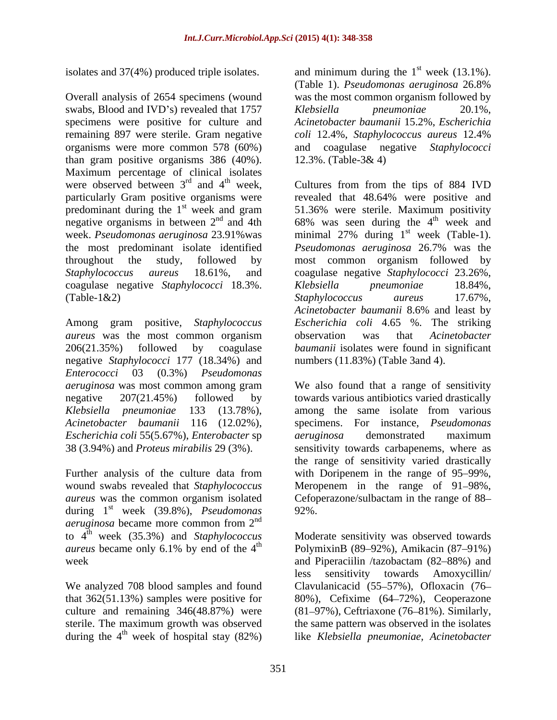Overall analysis of 2654 specimens (wound was the most common organism followed by swabs, Blood and IVD's) revealed that 1757 Klebsiella pneumoniae 20.1%, specimens were positive for culture and remaining 897 were sterile. Gram negative *coli* 12.4%, *Staphylococcus aureus* 12.4% organisms were more common 578 (60%) and coagulase negative *Staphylococci* than gram positive organisms 386 (40%). Maximum percentage of clinical isolates<br>were observed between  $3<sup>rd</sup>$  and  $4<sup>th</sup>$  week, were observed between  $3<sup>rd</sup>$  and  $4<sup>th</sup>$  week, Cultures from from the tips of 884 IVD particularly Gram positive organisms were revealed that 48.64% were positive and predominant during the  $1<sup>st</sup>$  week and gram<br>negative organisms in between  $2<sup>nd</sup>$  and 4th negative organisms in between  $2^{nd}$  and 4th 68% was seen during the 4<sup>th</sup> week and week. *Pseudomonas aeruginosa* 23.91% was minimal 27% during 1<sup>st</sup> week (Table-1). the most predominant isolate identified *Pseudomonas aeruginosa* 26.7% was the throughout the study, followed by most common organism followed by *Staphylococcus aureus* 18.61%, and coagulase negative *Staphylococci* 23.26%, coagulase negative *Staphylococci* 18.3%. (Table-1&2) Staphylococcus aureus 17.67%.

Among gram positive, *Staphylococcus aureus* was the most common organism between was that *Acinetobacter* negative *Staphylococci* 177 (18.34%) and *Enterococci* 03 (0.3%) *Pseudomonas aeruginosa* was most common among gram *Escherichia coli* 55(5.67%), *Enterobacter* sp

wound swabs revealed that *Staphylococcus aureus* was the common organism isolated during 1<sup>st</sup> week (39.8%), *Pseudomonas* 92%. *aeruginosa* became more common from 2 nd and the contract of the contract of the contract of the contract of the contract of the contract of the contract of the contract of the contract of the contract of the contract of the contract of the contract of the con to  $4^{\text{th}}$  week (35.3%) and *Staphylococcus* 

isolates and  $37(4%)$  produced triple isolates. and minimum during the  $1<sup>st</sup>$  week (13.1%). week (13.1%). (Table 1). *Pseudomonas aeruginosa* 26.8% *Klebsiella pneumoniae* 20.1%, *Acinetobacter baumanii* 15.2%, *Escherichia*  12.3%. (Table-3& 4)

st week and gram 51.36% were sterile. Maximum positivity 206(21.35%) followed by coagulase *baumanii* isolates were found in significant  $x_{\text{model}}$  and week and week (Table-1). *Klebsiella pneumoniae* 18.84%, *Staphylococcus aureus* 17.67%, *Acinetobacter baumanii* 8.6% and least by *Escherichia coli* 4.65 %. The striking observation was that *Acinetobacter*  numbers (11.83%) (Table 3and 4).

negative 207(21.45%) followed by towards various antibiotics varied drastically *Klebsiella pneumoniae* 133 (13.78%), among the same isolate from various *Acinetobacter baumanii* 116 (12.02%), specimens. For instance, *Pseudomonas*  38 (3.94%) and *Proteus mirabilis* 29 (3%). sensitivity towards carbapenems, where as Further analysis of the culture data from with Doripenem in the range of 95–99%, We also found that a range of sensitivity *aeruginosa* demonstrated maximum the range of sensitivity varied drastically Meropenem in the range of 91–98%, Cefoperazone/sulbactam in the range of 88 92%.

to  $4<sup>th</sup>$  week (35.3%) and *Staphylococcus* Moderate sensitivity was observed towards *aureus* became only 6.1% by end of the  $4<sup>th</sup>$  PolymixinB (89–92%), Amikacin (87–91%) week and Piperaciilin /tazobactam (82–88%) and  $\alpha$ We analyzed 708 blood samples and found Clavulanicacid (55–57%), Ofloxacin (76– that 362(51.13%) samples were positive for 80%), Cefixime (64 72%), Ceoperazone culture and remaining 346(48.87%) were (81 97%), Ceftriaxone (76 81%). Similarly, sterile. The maximum growth was observed the same pattern was observed in the isolates during the 4 th week of hospital stay (82%) like *Klebsiella pneumoniae, Acinetobacter*less sensitivity towards Amoxycillin/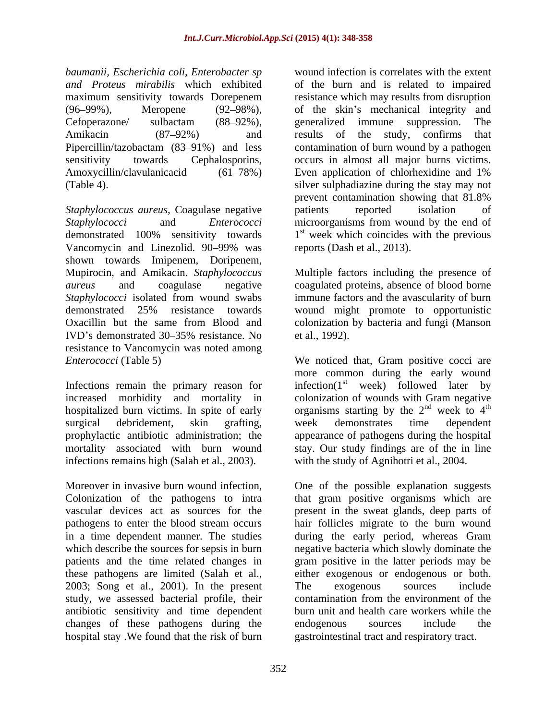*baumanii, Escherichia coli, Enterobacter sp* Amoxycillin/clavulanicacid (61–78%) Even application of chlorhexidine and 1%

*Staphylococcus aureus,* Coagulase negative *Staphylococci* and *Enterococci* microorganisms from wound by the end of demonstrated  $100\%$  sensitivity towards  $1<sup>st</sup>$  week which coincides with the previous Vancomycin and Linezolid. 90–99% was reports (Dash et al., 2013). shown towards Imipenem, Doripenem, Mupirocin, and Amikacin. *Staphylococcus aureus* and coagulase negative coagulated proteins, absence of blood borne *Staphylococci* isolated from wound swabs immune factors and the avascularity of burn demonstrated 25% resistance towards wound might promote to opportunistic Oxacillin but the same from Blood and colonization by bacteria and fungi (Manson IVD's demonstrated 30–35% resistance. No et al., 1992). resistance to Vancomycin was noted among *Enterococci* (Table 5) We noticed that, Gram positive cocci are

Infections remain the primary reason for increased morbidity and mortality in

infections remains high (Salah et al., 2003). With the study of Agnihotri et al., 2004.<br>Moreover in invasive burn wound infection, One of the possible explanation suggests<br>Colonization of the pathogens to intra that gram p 2003; Song et al., 2001). In the present study, we assessed bacterial profile, their contamination from the environment of the changes of these pathogens during the endogenous sources include the hospital stay .We found that the risk of burn

*and Proteus mirabilis* which exhibited of the burn and is related to impaired maximum sensitivity towards Dorepenem resistance which may results from disruption (96–99%), Meropene (92–98%), of the skin's mechanical integrity and Cefoperazone/ sulbactam (88–92%), generalized immune suppression. The Amikacin (87–92%) and results of the study, confirms that Pipercillin/tazobactam (83–91%) and less contamination of burn wound by a pathogen sensitivity towards Cephalosporins, occurs in almost all major burns victims. (Table 4). silver sulphadiazine during the stay may not wound infection is correlates with the extent generalized immune suppression. The results of the study, confirms that Even application of chlorhexidine and 1% prevent contamination showing that 81.8% patients reported isolation of

reports (Dash et al., 2013). Multiple factors including the presence of

hospitalized burn victims. In spite of early organisms starting by the  $2^{nd}$  week to  $4^{th}$ surgical debridement, skin grafting, prophylactic antibiotic administration; the appearance of pathogens during the hospital mortality associated with burn wound stay. Our study findings are of the in line et al., 1992).<br>We noticed that, Gram positive cocci are more common during the early wound infection(1<sup>st</sup> week) followed later by colonization of wounds with Gram negative nd  $\text{weak}$  to  $4^{\text{th}}$ week to  $4^{\text{th}}$ the contract of the contract of the contract of the contract of the contract of the contract of the contract of the contract of the contract of the contract of the contract of the contract of the contract of the contract o week demonstrates time dependent with the study of Agnihotri et al., 2004.

vascular devices act as sources for the present in the sweat glands, deep parts of pathogens to enter the blood stream occurs hair follicles migrate to the burn wound in a time dependent manner. The studies during the early period, whereas Gram which describe the sources for sepsis in burn egative bacteria which slowly dominate the patients and the time related changes in gram positive in the latter periods may be these pathogens are limited (Salah et al., either exogenous or endogenous or both. antibiotic sensitivity and time dependent burn unit and health care workers while the One of the possible explanation suggests that gram positive organisms which are The exogenous sources include contamination from the environment of the endogenous sources include the gastrointestinal tract and respiratory tract.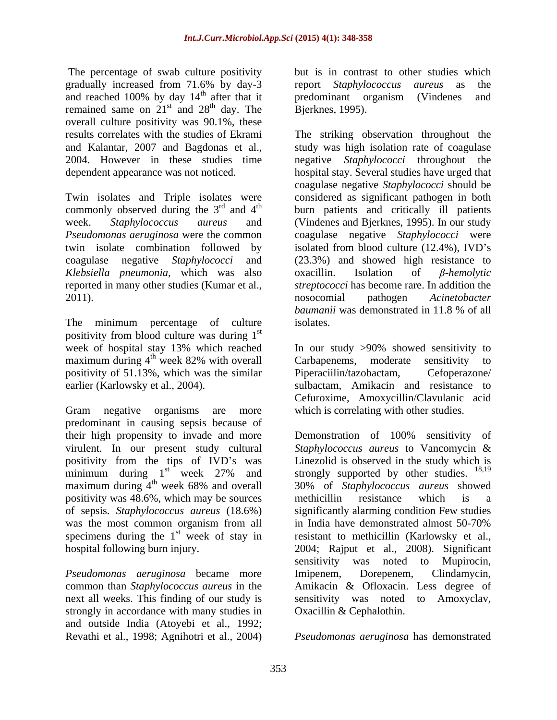The percentage of swab culture positivity and reached 100% by day  $14<sup>th</sup>$  after that it predominant organism (Vindenes and overall culture positivity was 90.1%, these

*Klebsiella pneumonia,* which was also

The minimum percentage of culture isolates. positivity from blood culture was during 1 st to the state of the state of the state of the state of the state of the state of the state of the state of the state of the state of the state of the state of the state of the state of the state of the state of the stat week of hospital stay 13% which reached positivity of 51.13%, which was the similar

predominant in causing sepsis because of their high propensity to invade and more Demonstration of 100% sensitivity of positivity from the tips of IVD's was minimum during  $1^{st}$  week 27% and maximum during  $4<sup>th</sup>$  week 68% and overall positivity was 48.6%, which may be sources methicillin resistance which is a was the most common organism from all<br>specimens during the  $1<sup>st</sup>$  week of stay in

next all weeks. This finding of our study is strongly in accordance with many studies in and outside India (Atoyebi et al., 1992;

gradually increased from 71.6% by day-3 report Staphylococcus aureus as the <sup>th</sup> ofter that it **prodominant** organism (Vindones and predominant organism remained same on  $21<sup>st</sup>$  and  $28<sup>th</sup>$  day. The Bjerknes, 1995).  $\mu$ <sup>th</sup> day. The Bjerknes, 1995). but is in contrast to other studies which report *Staphylococcus aureus* as the predominant organism (Vindenes and Bjerknes, 1995).

results correlates with the studies of Ekrami The striking observation throughout the and Kalantar, 2007 and Bagdonas et al., study was high isolation rate of coagulase 2004. However in these studies time negative *Staphylococci* throughout the dependent appearance was not noticed. hospital stay. Several studies have urged that Twin isolates and Triple isolates were considered as significant pathogen in both commonly observed during the  $3<sup>rd</sup>$  and  $4<sup>th</sup>$  burn patients and critically ill patients week. *Staphylococcus aureus* and (Vindenes and Bjerknes, 1995). In our study *Pseudomonas aeruginosa* were the common coagulase negative *Staphylococci* were twin isolate combination followed by isolated from blood culture (12.4%), IVD's coagulase negative *Staphylococci* and (23.3%) and showed high resistance to reported in many other studies (Kumar et al., *streptococci* has become rare. In addition the 2011). coagulase negative *Staphylococci* should be oxacillin. Isolation of *β-hemolytic* nosocomial pathogen *Acinetobacter baumanii* was demonstrated in 11.8 % of all isolates.

maximum during 4<sup>th</sup> week 82% with overall Carbapenems, moderate sensitivity to week 82% with overall Carbapenems, moderate sensitivity to earlier (Karlowsky et al., 2004).<br>
Gram negative organisms are more thich is correlating with other studies. In our study >90% showed sensitivity to Carbapenems, moderate sensitivity to Piperaciilin/tazobactam. sulbactam, Amikacin and resistance to Cefuroxime, Amoxycillin/Clavulanic acid which is correlating with other studies.

virulent. In our present study cultural *Staphylococcus aureus* to Vancomycin & <sup>st</sup> week 27% and strongly supported by other studies. <sup>18,19</sup> <sup>th</sup> week 68% and overall 30% of *Staphylococcus aureus* showed week 68% and overall 30% of Staphylococcus aureus showed of sepsis. *Staphylococcus aureus* (18.6%) significantly alarming condition Few studies specimens during the  $1<sup>st</sup>$  week of stay in resistant to methicillin (Karlowsky et al., hospital following burn injury. 2004; Rajput et al., 2008). Significant *Pseudomonas aeruginosa* became more common than *Staphylococcus aureus* in the Amikacin & Ofloxacin. Less degree of Demonstration of 100% sensitivity of Linezolid is observed in the study which is methicillin resistance which is a in India have demonstrated almost 50-70% sensitivity was noted to Mupirocin, Imipenem, Dorepenem, Clindamycin, sensitivity was noted to Amoxyclav, Oxacillin & Cephalothin.

Revathi et al., 1998; Agnihotri et al., 2004) *Pseudomonas aeruginosa* has demonstrated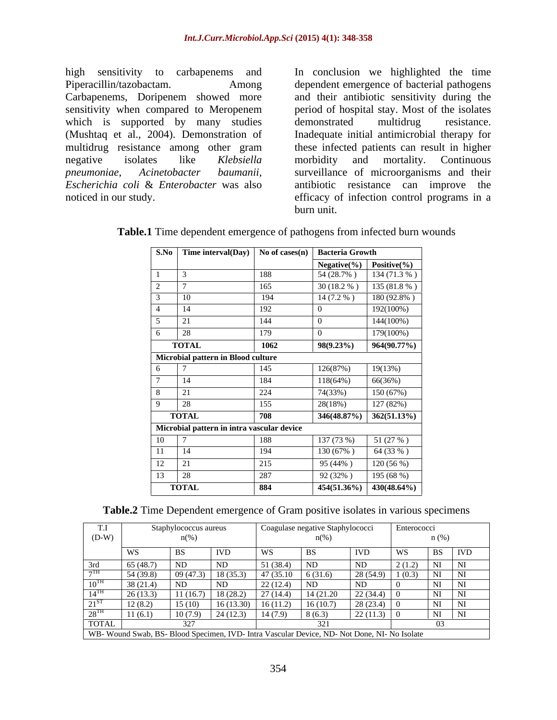sensitivity when compared to Meropenem which is supported by many studies demonstrated multidrug resistance.

high sensitivity to carbapenems and In conclusion we highlighted the time Piperacillin/tazobactam. Among dependent emergence of bacterial pathogens Carbapenems, Doripenem showed more and their antibiotic sensitivity during the (Mushtaq et al., 2004). Demonstration of Inadequate initial antimicrobial therapy for multidrug resistance among other gram these infected patients can result in higher negative isolates like *Klebsiella*  morbidity and mortality. Continuous *pneumoniae*, *Acinetobacter baumanii,* surveillance of microorganisms and their *Escherichia coli* & *Enterobacter* was also antibiotic resistance can improve the noticed in our study. efficacy of infection control programs in a period of hospital stay. Most of the isolates demonstrated multidrug resistance. burn unit.

| S.No $\vert$ Time interval(Day) $\vert$ No of cases(n) $\vert$ Bacteria Growth |      |                                       |              |
|--------------------------------------------------------------------------------|------|---------------------------------------|--------------|
|                                                                                |      | $Negative(\%)$ Positive(%)            |              |
|                                                                                | 188  | 54 (28.7%)                            | 134 (71.3 %) |
|                                                                                | 165  | 30 (18.2 %)                           | 135 (81.8 %) |
| 10                                                                             | 194  | 14(7.2%                               | 180 (92.8%)  |
| 14                                                                             | 192  |                                       | 192(100%)    |
|                                                                                | 144  |                                       | 144(100%)    |
| 28                                                                             | 179  |                                       | 179(100%)    |
| <b>TOTAL</b>                                                                   | 1062 | 98(9.23%)                             | 964(90.77%)  |
| Microbial pattern in Blood culture                                             |      |                                       |              |
|                                                                                | 145  | 126(87%)                              | 19(13%)      |
| 14                                                                             | 184  | 118(64%)                              | 66(36%)      |
|                                                                                | 224  | 74(33%)                               | 150(67%)     |
| 28                                                                             | 155  | 28(18%)                               | 127 (82%)    |
| <b>TOTAL</b>                                                                   | 708  | $346(48.87%)$ $362(51.13%)$           |              |
| Microbial pattern in intra vascular device                                     |      |                                       |              |
| 10                                                                             | 188  | 137 (73 %)                            | 51(27%)      |
| 14<br>11                                                                       | 194  | $130(67\%)$                           | 64 (33 %)    |
| 12                                                                             | 215  | 95 (44%)                              | 120(56%)     |
| 28<br>13                                                                       | 287  | 92 (32%)                              | 195 (68 %)   |
| <b>TOTAL</b>                                                                   | 884  | $\mid$ 454(51.36%) $\mid$ 430(48.64%) |              |

| I Time dependent emergence of pathogens from infected burn wounds |
|-------------------------------------------------------------------|
|-------------------------------------------------------------------|

|  | <b>Table.2</b> Time Dependent emergence of Gram positive isolates in various specimens |  |
|--|----------------------------------------------------------------------------------------|--|
|  |                                                                                        |  |

|              |           | Staphylococcus aureus |                     |                                                                                                            | Coagulase negative Staphylococci |            | Enterococci   |            |                          |
|--------------|-----------|-----------------------|---------------------|------------------------------------------------------------------------------------------------------------|----------------------------------|------------|---------------|------------|--------------------------|
| $(D-W)$      |           | $n(\%)$               |                     |                                                                                                            |                                  |            |               | $n$ (%)    |                          |
|              |           |                       |                     |                                                                                                            |                                  |            |               |            |                          |
|              |           |                       |                     |                                                                                                            | ⊤BS.                             | <b>IVD</b> |               |            | <b>IVD</b>               |
|              | 65(48.7)  | ND.                   | ND.                 | 51 (38.4)                                                                                                  | I ND.                            |            | 2(12)         |            |                          |
|              | 54 (39.8) |                       |                     | $\begin{array}{ c c c c c c c c } \hline 09 (47.3) & 18 (35.3) & 47 (35.10) & 6 (31.6) \hline \end{array}$ |                                  | 28(54.9)   | $1(0.3)$   NI |            |                          |
| $-$ TILE     | 38 (21.4) | -ND-                  |                     | 22(12.4)                                                                                                   | I ND                             |            |               |            |                          |
|              |           |                       | $11(16.7)$ 18(28.2) |                                                                                                            | 14 (21.20)                       | 22(34.4) 0 |               |            |                          |
|              | 26 (13.3) |                       |                     | $\frac{27(14.4)}{}$                                                                                        |                                  |            |               |            |                          |
|              |           | $-15(10)$             | 16(13.30)           | $16(11.2)$ 16(10.7)                                                                                        |                                  | 28(23.4) 0 |               |            |                          |
|              | 11(6.1)   | 10(7.9)               | 124(12.3)           | 14(7.9)                                                                                                    | 8(6.3)                           | 22(11.3)   |               | <b>ATT</b> | $\overline{\phantom{a}}$ |
| <b>TOTAL</b> |           |                       |                     |                                                                                                            |                                  |            |               |            |                          |
|              |           |                       |                     | WB- Wound Swab, BS- Blood Specimen, IVD- Intra Vascular Device, ND- Not Done, NI- No Isolate               |                                  |            |               |            |                          |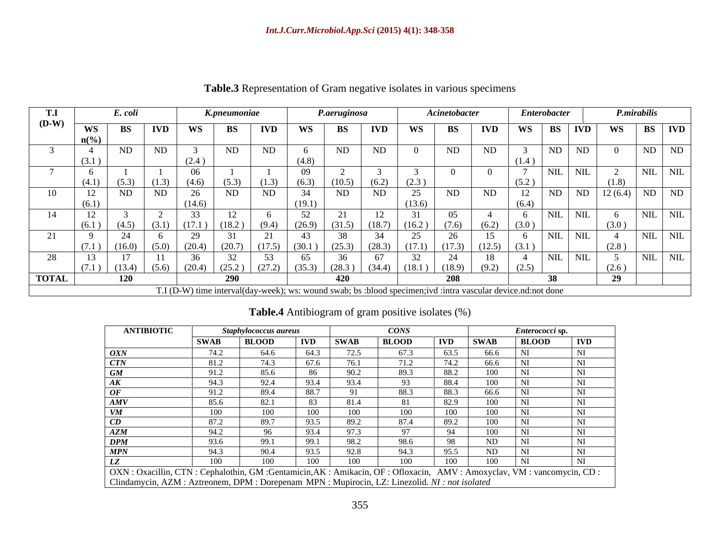| T.I          |         | E. coli    |                                                                                                                 |                 | K.pneumoniae |        |        | P.aeruginosa     |                                     |           | Acinetobacter                      |    |       | <i>Enterobacter</i> |                                                         | P.mirabilis |                         |
|--------------|---------|------------|-----------------------------------------------------------------------------------------------------------------|-----------------|--------------|--------|--------|------------------|-------------------------------------|-----------|------------------------------------|----|-------|---------------------|---------------------------------------------------------|-------------|-------------------------|
| $(D-W)$      |         |            |                                                                                                                 |                 |              |        | WS     | BS               | <b>IVD</b>                          | <b>WS</b> |                                    | BS |       |                     |                                                         |             | IVD WS BS IVD WS BS IVD |
|              |         |            |                                                                                                                 |                 |              |        |        |                  |                                     |           |                                    |    |       |                     |                                                         |             |                         |
|              |         | ND         | ND                                                                                                              | (2.4)           | ND           | ND     | (4.8)  | N <sub>L</sub>   | ND.                                 |           | ND.                                |    | ND    | (1.4)               | ND   ND                                                 | $ND$   ND   |                         |
|              |         |            |                                                                                                                 |                 |              |        |        |                  |                                     |           |                                    |    |       |                     | NIL N                                                   | NIL NIL     |                         |
|              |         |            |                                                                                                                 |                 | (5.3)        | (1.3)  |        | $(6.3)$ $(10.5)$ | $(6.2)$ $(2.3)$                     |           |                                    |    |       |                     |                                                         |             |                         |
|              | $\perp$ | ND         | ND.                                                                                                             | -26             | ND           | ND     |        | NE               | ND.                                 |           |                                    |    | ND    | 12                  | $\mid$ ND $\mid$ ND $\mid$ 12 (6.4) $\mid$ ND $\mid$ ND |             |                         |
|              | (6.1)   |            |                                                                                                                 | (14.6)          |              |        | (19.1) |                  |                                     | (13.6)    |                                    |    |       | (6.4)               |                                                         |             |                         |
|              |         |            |                                                                                                                 |                 |              |        |        |                  |                                     |           |                                    |    |       |                     | NIL                                                     | NIL NIL     |                         |
|              |         |            |                                                                                                                 |                 | - (18.2      | (9.4)  | (26.9) | (31.5)           | (18.7)                              | (16.2)    | (7.6)                              |    | (6.2) | (3.0)               |                                                         |             |                         |
| 21           |         |            |                                                                                                                 |                 |              |        |        |                  |                                     |           |                                    |    |       |                     | $\overline{\phantom{a}}$ NIL                            | NIL NIL     |                         |
|              |         |            |                                                                                                                 |                 |              | (17.5) | (30.1) | (25.3)           | (28.3)                              |           | $(17.1)$ $(17.3)$ $(12.5)$ $(3.1)$ |    |       |                     |                                                         |             |                         |
| 28           |         |            |                                                                                                                 |                 |              |        |        |                  |                                     |           |                                    |    |       | -NII                | $\mid$ NIL                                              | NIL NIL     |                         |
|              |         |            | (5.6)                                                                                                           | $(20.4)$ (25.2) |              | (27.2) | (35.3) |                  | $(28.3)$ $(34.4)$ $(18.1)$ $(18.9)$ |           |                                    |    | (9.2) | (2.5)               |                                                         |             |                         |
| <b>TOTAL</b> |         | <b>120</b> |                                                                                                                 |                 | -290         |        |        |                  |                                     |           | -208                               |    |       |                     |                                                         |             |                         |
|              |         |            | T.I (D-W) time interval(day-week); ws: wound swab; bs :blood specimen; ivd : intra vascular device.nd: not done |                 |              |        |        |                  |                                     |           |                                    |    |       |                     |                                                         |             |                         |

**Table.3** Representation of Gram negative isolates in various specimens

**Table.4** Antibiogram of gram positive isolates (%)

| <b>ANTIBIOTIC</b>                                                                                                          |      | Staphylococcus aureus |                 |            | CONS  |      |                    | <i>Enterococci</i> sp.  |            |
|----------------------------------------------------------------------------------------------------------------------------|------|-----------------------|-----------------|------------|-------|------|--------------------|-------------------------|------------|
|                                                                                                                            | SWAB | BLOOD                 | <b>IVD</b> SWAB |            | BLOOD |      | IVD   SWAB   BLOOD |                         | IVD        |
| OXN                                                                                                                        | 74.2 | 64.6                  | 64.3            | 72.5       | 67.3  |      | 66.6               | NI N                    | NIT        |
| CTN                                                                                                                        |      |                       |                 | 76.1       | 71.2  | 74.Z | 66.6               |                         |            |
| GМ                                                                                                                         | 012  |                       | -86             | 90.2       | 89.3  | 88.2 | 100                | NI N                    | <b>ATT</b> |
|                                                                                                                            |      |                       |                 |            |       | 88.4 | 100                |                         |            |
|                                                                                                                            | 012  | 89.4                  | 88.7            | $\Omega$ 1 | 883   | 993  | 66 6               | l nit                   | NI         |
| AMV                                                                                                                        |      |                       |                 | 81.4       | -81   |      |                    |                         |            |
| $V\Lambda$                                                                                                                 | 100  |                       | 100             | 100        | 100   | 100  | $100 -$            | $\overline{\mathbf{M}}$ | <b>ATT</b> |
|                                                                                                                            |      |                       |                 | 89.2       | 87.4  |      |                    |                         |            |
| A Z M                                                                                                                      |      |                       |                 |            |       |      | $100 -$            |                         |            |
|                                                                                                                            |      |                       |                 | 98.2       | 98.6  |      | ND.                |                         |            |
| <b>MPN</b>                                                                                                                 | 94.3 | 90.4                  |                 | 92.8       | 94.3  |      | ND -               |                         |            |
|                                                                                                                            |      |                       |                 | 100        | 100   | 100  | 100                |                         |            |
| OXN : Oxacillin, CTN : Cephalothin, GM : Gentamicin, AK : Amikacin, OF : Ofloxacin, AMV : Amoxyclav, VM : vancomycin, CD : |      |                       |                 |            |       |      |                    |                         |            |
| Clindamycin, AZM : Aztreonem, DPM : Dorepenam MPN : Mupirocin, LZ: Linezolid. NI : not isolated                            |      |                       |                 |            |       |      |                    |                         |            |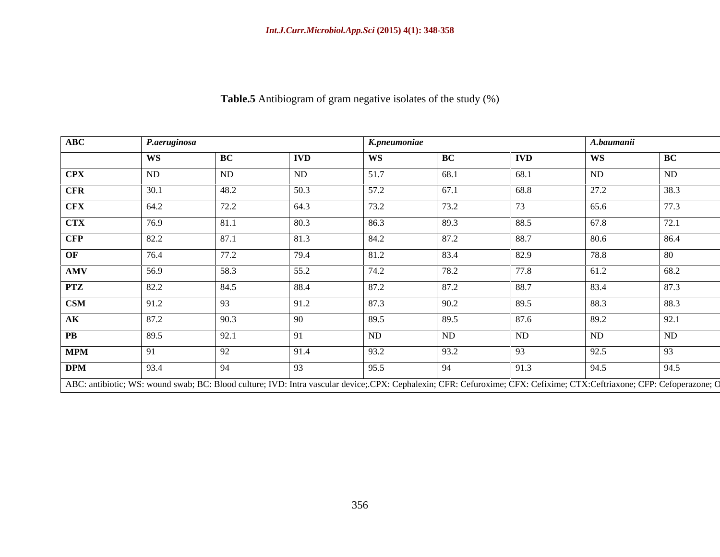| ABC                    | P.aeruginosa   |              |            | K.pneumoniae |          |            | A.baumanii |               |
|------------------------|----------------|--------------|------------|--------------|----------|------------|------------|---------------|
|                        |                | <b>BC</b>    | <b>IVD</b> | WN.          |          | <b>IVD</b> | <b>WS</b>  | BC            |
| <b>CPX</b>             | ND.            | ND.          | ND         | 51.7         | 68.1     | 68.1       | ND         | ND.           |
| <b>CFR</b>             | 30.1           | 48.2         | 50.3       | 57.2         | 67.1     | 68.8       | 27.2       | 38.3          |
| <b>CFX</b>             | 64.2           | 72.2         | 64.3       | 73.2         | 73.2     |            | 65.6       | 77.3          |
| <b>CTX</b>             | 76.9           | 81.1         | 80.3       | 86.3         | 89.3     | 88.5       | 67.8       | 721<br>72.I   |
| <b>CFP</b>             | 82.2           | 87.1         | 81.3       | 84.2         | 87.2     | 88.7       | 80.6       | 86.4          |
| OF                     | 76.4           | 77.2         | 79.4       | 81.2         | 83.4     | 82.9       | 78.8       |               |
| AMV                    | 56.9           | 58.3         | 55.2       | 74.2         | 78.2     |            | 61.2       | 68.2          |
| <b>PTZ</b>             | 82.2           | 84.5         | 88.4       | 87.2         | 87.2     | 88.7       | 83.4       | $\sqrt{87.3}$ |
| CSM                    | 012<br>ے . 1 י |              | 91.2       | 87.3         | 90.2     | 89.5       | 88.3       | 88.3          |
| $\mathbf{A}\mathbf{K}$ | 87.2           | 90.3         |            | 89.5         | 89.5     |            | 89.2       | $\Omega$ 1    |
|                        | 89.5           | 92.1         |            | ND           | ND       | <b>ND</b>  | ND.        | ND            |
| <b>MPM</b>             |                | ്റ           | 91.4       | 93.2         | 93.2     |            | 92.5       |               |
| <b>DPM</b>             | 93.4           | $Q_{\Delta}$ |            | 95.5         | $\Omega$ | 91.3       | 94.5       | 94.5          |

**Table.5** Antibiogram of gram negative isolates of the study (%)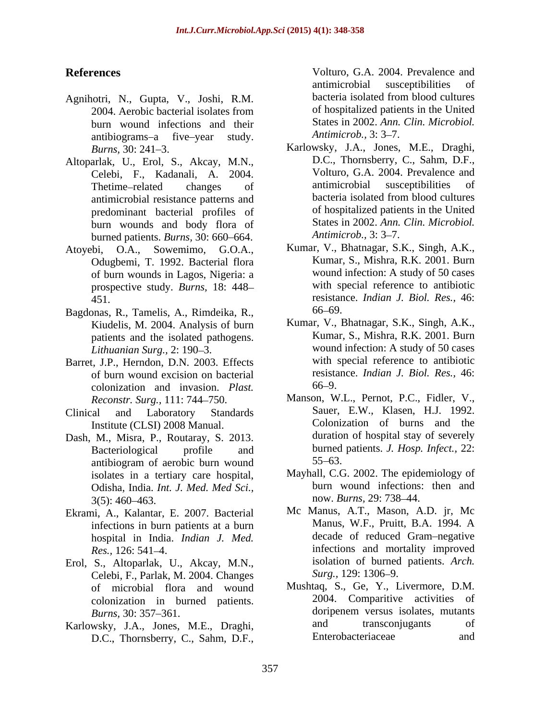- Agnihotri, N., Gupta, V., Joshi, R.M. 2004. Aerobic bacterial isolates from burn wound infections and their States in 2002. Ann.<br>antibiograms—a five—vear study Antimicrob., 3:3–7. antibiograms-a five-year study.
- predominant bacterial profiles of burn wounds and body flora of States in 2002. Ann.<br>burned patients *Burns* 30:660–664 Antimicrob. 3:3–7. burned patients. *Burns*, 30: 660–664.
- of burn wounds in Lagos, Nigeria: a prospective study. *Burns,* 18: 448
- Bagdonas, R., Tamelis, A., Rimdeika, R., 66–69.<br>Kiudelis, M. 2004. Analysis of burn Kumar, V., Bhatnagar, S.K., Singh, A.K.,
- Barret, J.P., Herndon, D.N. 2003. Effects of burn wound excision on bacterial resistance in the resistance of the colonization and invasion *Plast* 66–9. colonization and invasion. *Plast.*
- Clinical and Laboratory Standards Institute (CLSI) 2008 Manual.
- Dash, M., Misra, P., Routaray, S. 2013. antibiogram of aerobic burn wound 55–63. Odisha, India. *Int. J. Med. Med Sci.*,<br>3(5): 460–463<br>now. *Burns*, 29: 738–44.  $3(5)$ : 460–463. now. Burns, 29: 738–44.
- Ekrami, A., Kalantar, E. 2007. Bacterial hospital in India. *Indian J. Med.*
- Celebi, F., Parlak, M. 2004. Changes of microbial flora and wound colonization in burned patients.
- 

**References** Volturo, G.A. 2004. Prevalence and antimicrobial susceptibilities of bacteria isolated from blood cultures of hospitalized patients in the United States in 2002. *Ann. Clin. Microbiol. Antimicrob.,* 3: 3–7.

- *Burns,* 30: 241 3. Karlowsky, J.A., Jones, M.E., Draghi, Altoparlak, U., Erol, S., Akcay, M.N., D.C., Thornsberry, C., Sahm, D.F., Celebi F. Kadanali A. 2004. Volturo, G.A. 2004. Prevalence and Celebi, F., Kadanali, A. 2004. Volturo, G.A. 2004. Prevalence and<br>Thetime-related changes of antimicrobial susceptibilities of Thetime–related changes of antimicrobial susceptibilities of antimicrobial resistance patterns and **Process** and the state of the state of the state of the state and the state in the state in the state in the state in the state in the state in the state in the state in the state in the state in the state in the state i D.C., Thornsberry, C., Sahm, D.F., Volturo, G.A. 2004. Prevalence and antimicrobial susceptibilities of bacteria isolated from blood cultures of hospitalized patients in the United States in 2002. *Ann. Clin. Microbiol. Antimicrob., 3: 3–7.*
- Atoyebi, O.A., Sowemimo, G.O.A., Kumar, V., Bhatnagar, S.K., Singh, A.K., Odugbemi, T. 1992. Bacterial flora Kumar, S., Mishra, R.K. 2001. Burn 451. resistance. *Indian J. Biol. Res.,* 46: Kumar, V., Bhatnagar, S.K., Singh, A.K., Kumar, S., Mishra, R.K. 2001. Burn wound infection: A study of 50 cases with special reference to antibiotic 66 69.
	- patients and the isolated pathogens. Kumar, S., Mishra, R.K. 2001. Burn *Lithuanian Surg., 2:* 190–3. wound infection: A study of 50 cases Kumar, V., Bhatnagar, S.K., Singh, A.K., Kumar, S., Mishra, R.K. 2001. Burn with special reference to antibiotic resistance. *Indian J. Biol. Res.,* 46:  $66 - 9$ .
	- *Reconstr. Surg.,* 111: 744 750. Manson, W.L., Pernot, P.C., Fidler, V., Bacteriological profile and burned patients. *J. Hosp. Infect.,* 22: Sauer, E.W., Klasen, H.J. 1992. Colonization of burns and the duration of hospital stay of severely  $55 - 63.$
	- isolates in a tertiary care hospital, Mayhall, C.G. 2002. The epidemiology of burn wound infections: then and now. *Burns,* 29: 738 44.
- infections in burn patients at a burn<br>hospital in India *Indian I Med* decade of reduced Gram–negative *Res.*, 126: 541–4. infections and mortality improved Erol, S., Altoparlak, U., Akcay, M.N.,<br>
Celebi E Parlak M 2004 Changes Surg., 129: 1306–9. Mc Manus, A.T., Mason, A.D. jr, Mc Manus, W.F., Pruitt, B.A. 1994. A decade of reduced Gram-negative isolation of burned patients. *Arch. Surg.,* 129: <sup>1306</sup> 9.
- *Burns,* 30: 357–361. doripenem versus isolates, mutants<br>wsky I A Iones M E Draghi and transconjugants of Karlowsky, J.A., Jones, M.E., Draghi, and transconjugants of  $DC$  Thornsherry C Sahm D.E. Enterobacteriaceae and Mushtaq, S., Ge, Y., Livermore, D.M. 2004. Comparitive activities of doripenem versus isolates, mutants and transconjugants of Enterobacteriaceae and